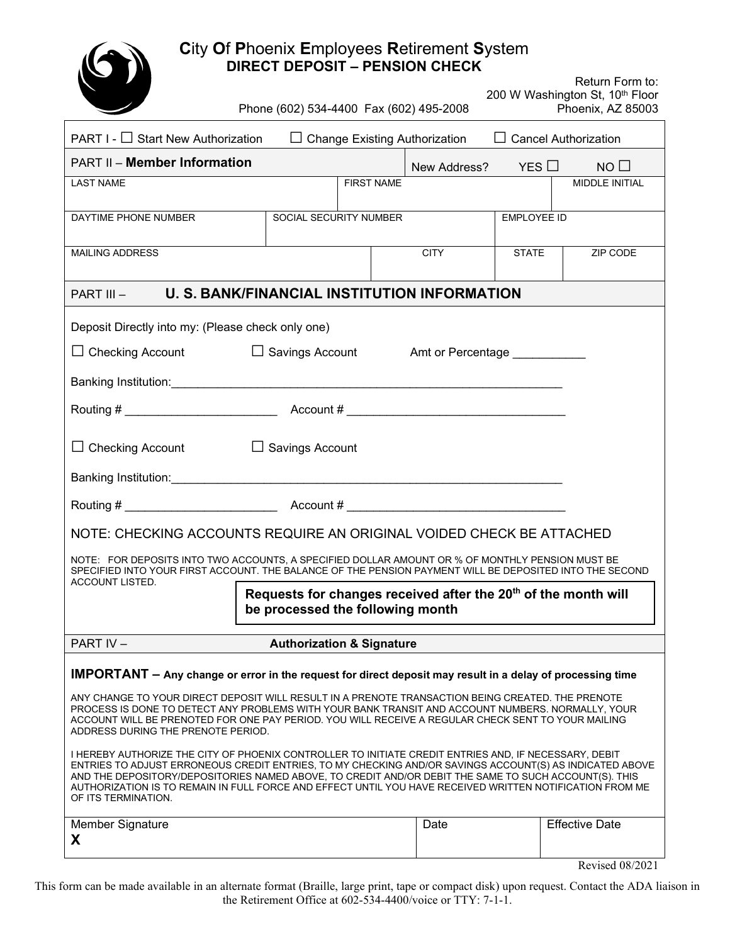

| <b>City Of Pricents Employees Reurement System</b><br><b>DIRECT DEPOSIT - PENSION CHECK</b>                                                                                                                                                                                                                                                                                                                                                                  |                                                                                                                    |                        |                       |                 |                       |  |
|--------------------------------------------------------------------------------------------------------------------------------------------------------------------------------------------------------------------------------------------------------------------------------------------------------------------------------------------------------------------------------------------------------------------------------------------------------------|--------------------------------------------------------------------------------------------------------------------|------------------------|-----------------------|-----------------|-----------------------|--|
|                                                                                                                                                                                                                                                                                                                                                                                                                                                              | Return Form to:<br>200 W Washington St, 10th Floor<br>Phone (602) 534-4400 Fax (602) 495-2008<br>Phoenix, AZ 85003 |                        |                       |                 |                       |  |
| PART I - □ Start New Authorization<br>$\Box$ Change Existing Authorization<br>$\Box$ Cancel Authorization                                                                                                                                                                                                                                                                                                                                                    |                                                                                                                    |                        |                       |                 |                       |  |
| <b>PART II - Member Information</b>                                                                                                                                                                                                                                                                                                                                                                                                                          |                                                                                                                    |                        | New Address?          | $YES$ $\square$ | $NO$ $\Box$           |  |
| <b>LAST NAME</b>                                                                                                                                                                                                                                                                                                                                                                                                                                             |                                                                                                                    | <b>FIRST NAME</b>      | <b>MIDDLE INITIAL</b> |                 |                       |  |
| DAYTIME PHONE NUMBER                                                                                                                                                                                                                                                                                                                                                                                                                                         |                                                                                                                    | SOCIAL SECURITY NUMBER | <b>EMPLOYEE ID</b>    |                 |                       |  |
| MAILING ADDRESS                                                                                                                                                                                                                                                                                                                                                                                                                                              |                                                                                                                    |                        | <b>CITY</b>           | <b>STATE</b>    | ZIP CODE              |  |
| <b>U. S. BANK/FINANCIAL INSTITUTION INFORMATION</b><br>PART III-                                                                                                                                                                                                                                                                                                                                                                                             |                                                                                                                    |                        |                       |                 |                       |  |
| Deposit Directly into my: (Please check only one)                                                                                                                                                                                                                                                                                                                                                                                                            |                                                                                                                    |                        |                       |                 |                       |  |
| $\Box$ Checking Account $\Box$ Savings Account Amt or Percentage                                                                                                                                                                                                                                                                                                                                                                                             |                                                                                                                    |                        |                       |                 |                       |  |
|                                                                                                                                                                                                                                                                                                                                                                                                                                                              |                                                                                                                    |                        |                       |                 |                       |  |
|                                                                                                                                                                                                                                                                                                                                                                                                                                                              |                                                                                                                    |                        |                       |                 |                       |  |
| $\Box$ Checking Account $\Box$ Savings Account                                                                                                                                                                                                                                                                                                                                                                                                               |                                                                                                                    |                        |                       |                 |                       |  |
|                                                                                                                                                                                                                                                                                                                                                                                                                                                              |                                                                                                                    |                        |                       |                 |                       |  |
|                                                                                                                                                                                                                                                                                                                                                                                                                                                              |                                                                                                                    |                        |                       |                 |                       |  |
| NOTE: CHECKING ACCOUNTS REQUIRE AN ORIGINAL VOIDED CHECK BE ATTACHED                                                                                                                                                                                                                                                                                                                                                                                         |                                                                                                                    |                        |                       |                 |                       |  |
| NOTE: FOR DEPOSITS INTO TWO ACCOUNTS, A SPECIFIED DOLLAR AMOUNT OR % OF MONTHLY PENSION MUST BE<br>SPECIFIED INTO YOUR FIRST ACCOUNT. THE BALANCE OF THE PENSION PAYMENT WILL BE DEPOSITED INTO THE SECOND<br>ACCOUNT LISTED. $\qquad \qquad \qquad$                                                                                                                                                                                                         |                                                                                                                    |                        |                       |                 |                       |  |
| Requests for changes received after the 20 <sup>th</sup> of the month will<br>be processed the following month                                                                                                                                                                                                                                                                                                                                               |                                                                                                                    |                        |                       |                 |                       |  |
| PART IV-                                                                                                                                                                                                                                                                                                                                                                                                                                                     | <b>Authorization &amp; Signature</b>                                                                               |                        |                       |                 |                       |  |
| <b>IMPORTANT</b> – Any change or error in the request for direct deposit may result in a delay of processing time                                                                                                                                                                                                                                                                                                                                            |                                                                                                                    |                        |                       |                 |                       |  |
| ANY CHANGE TO YOUR DIRECT DEPOSIT WILL RESULT IN A PRENOTE TRANSACTION BEING CREATED. THE PRENOTE<br>PROCESS IS DONE TO DETECT ANY PROBLEMS WITH YOUR BANK TRANSIT AND ACCOUNT NUMBERS. NORMALLY, YOUR<br>ACCOUNT WILL BE PRENOTED FOR ONE PAY PERIOD. YOU WILL RECEIVE A REGULAR CHECK SENT TO YOUR MAILING<br>ADDRESS DURING THE PRENOTE PERIOD.                                                                                                           |                                                                                                                    |                        |                       |                 |                       |  |
| I HEREBY AUTHORIZE THE CITY OF PHOENIX CONTROLLER TO INITIATE CREDIT ENTRIES AND, IF NECESSARY, DEBIT<br>ENTRIES TO ADJUST ERRONEOUS CREDIT ENTRIES, TO MY CHECKING AND/OR SAVINGS ACCOUNT(S) AS INDICATED ABOVE<br>AND THE DEPOSITORY/DEPOSITORIES NAMED ABOVE, TO CREDIT AND/OR DEBIT THE SAME TO SUCH ACCOUNT(S). THIS<br>AUTHORIZATION IS TO REMAIN IN FULL FORCE AND EFFECT UNTIL YOU HAVE RECEIVED WRITTEN NOTIFICATION FROM ME<br>OF ITS TERMINATION. |                                                                                                                    |                        |                       |                 |                       |  |
| <b>Member Signature</b><br>X                                                                                                                                                                                                                                                                                                                                                                                                                                 |                                                                                                                    |                        | Date                  |                 | <b>Effective Date</b> |  |

Revised 08/2021